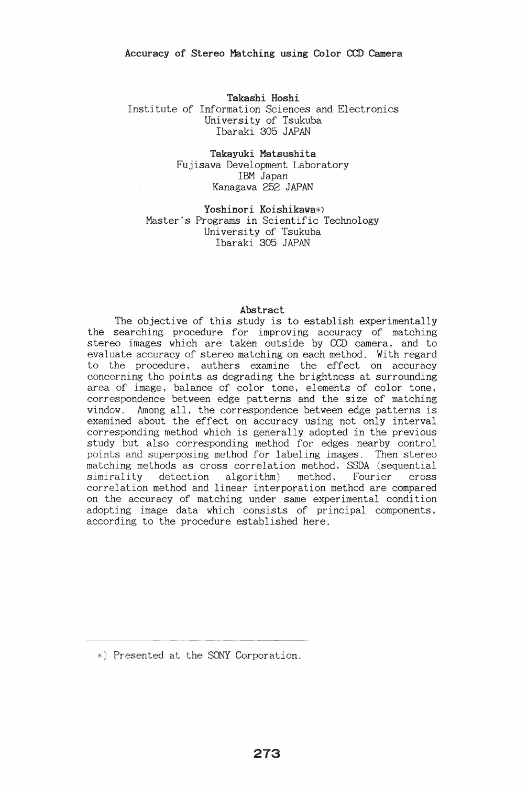#### Takashi Hoshi

# Institute of Information Sciences and Electronics University of Tsukuba Ibaraki 305 JAPAN

# Takayuki Matsushita Fujisawa Development Laboratory IBM Japan Kanagawa 252 JAPAN

# Yoshinori Koishikawa\*) Master's Programs in Scientific Technology University of Tsukuba Ibaraki 305 JAPAN

#### Abstract

The objective of this study is to establish experimentally the searching procedure for improving accuracy of matching stereo images which are taken outside by CCD camera, and to evaluate accuracy of stereo matching on each method. With regard to the procedure, authers examine the effect on accuracy concerning the points as degrading the brightness at surrounding area of image, balance of color tone, elements of color tone, correspondence between edge patterns and the size of matching window. Among all, the correspondence between edge patterns is examined about the effect on accuracy using not only interval corresponding method which is generally adopted in the previous study but also corresponding method for edges nearby control points and superposing method for labeling images. Then stereo matching methods as cross correlation method, SSDA (sequential simirality detection algorithm) method, Fourier cross correlation method and linear interporation method are compared on the accuracy of matching under same experimental condition adopting image data which consists of principal components, according to the procedure established here.

\*) Presented at the SONY Corporation.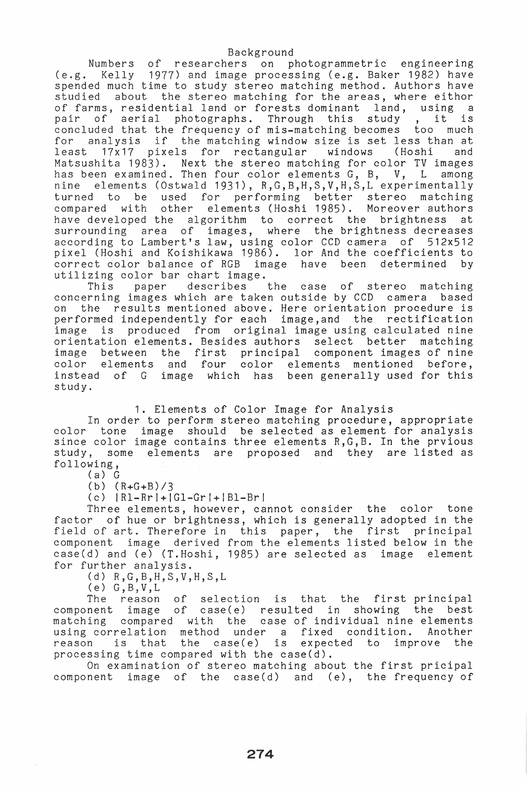#### Background

Numbers of researchers on photogrammetric engineering (e.g. Kelly 1977) and image processing (e.g. Baker 1982) have spended much time to study stereo matching method. Authors have studied about the stereo matching for the areas, where eithor<br>of farms, residential land or forests dominant land, using a of farms, residential land or forests dominant land, using a<br>pair of aerial photographs. Through this study. it is pair of aerial photographs. Through concluded that the frequency of mis-matching becomes too much<br>for analysis if the matching window size is set less than at for analysis if the matching window size is set less than at<br>least 17x17 pixels for rectangular windows (Hoshi and  $17x17$  pixels for rectangular Matsushita 1983). Next the stereo matching for color TV images has been examined. Then four color elements G, B, V, L among nine elements (Ostwald 1931), R,G,B,H,S,V,H,S,L experimentally<br>turned to be used for performing better stereo matching used for performing better stereo matching compared with other elements (Hoshi 1985). Moreover authors have developed the algorithm to correct the brightness at surrounding area of images, where the brightness decreases according to Lambert's law, using color CCD camera of 512x512 pixel (Hoshi and Koishikawa 1986). lor And the coefficients to correct color balance of RGB image have been determined by

utilizing color bar chart image.<br>This paper describes the case of stereo matching concerning images which are taken outside by CCD camera based on the results mentioned above. Here orientation procedure is performed independently for each image, and the rectification<br>image is produced from original image using calculated nine produced from original image using calculated nine<br>elements. Besides authors select better matching orientation elements. Besides authors select<br>image between the first principal compone the first principal component images of nine color elements and four color elements mentioned before, instead of G image which has been generally used for this study.

1. Elements of Color Image for Analysis

In order to perform stereo matching procedure, appropriate color tone image should be selected as element for analysis since color image contains three elements  $R, G, B$ . In the prvious study, some elements are proposed and they are listed as some elements are proposed and they are listed as following,

(a) G

(b) (R+G+B)/3

(c) IRl-Rrl+IGl-Grl+IBl-Brl

Three elements, however, cannot consider the color tone factor of hue or brightness, which is generally adopted in the field of art. Therefore in this paper, the first principal component image derived from the elements listed below in the case(d) and (e) (T.Hoshi, 1985) are selected as image element for further analysis.

 $(d)$  R, G, B, H, S, V, H, S, L

 $(e)$  G, B, V, L

The reason of selection is that the first-principal<br>nent image of case(e) resulted in showing the best component image of case(e) resulted in showing the matching compared with the case of individual nine elements using correlation method under a fixed condition. Another reason is that the case(e) is expected to improve the processing time compared with the case(d).

On examination of stereo matching about the first pricipal component image of the case(d) and (e), the frequency of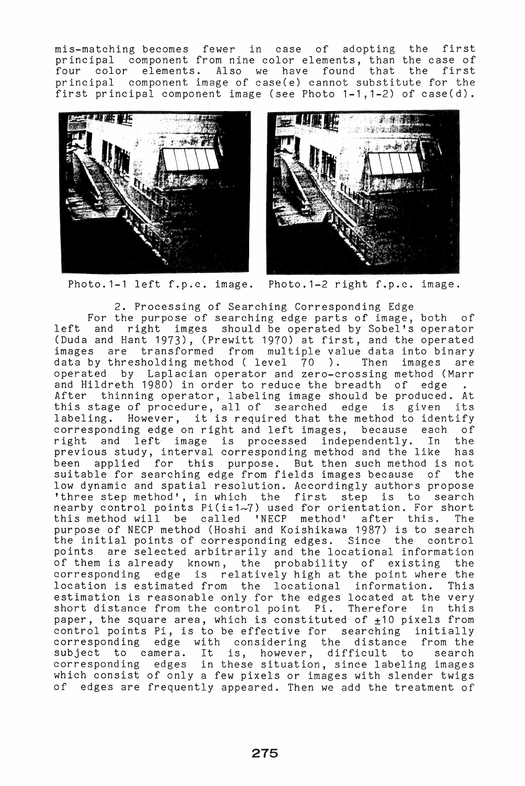mis-matching becomes fewer in case of adopting the first principal component from nine color elements, than the case of four color elements. Also we have found that the first principal component image of case(e) cannot substitute for the first principal component image (see Photo 1-1,1-2) of case(d).





Photo.1-1 left f.p.c. image. Photo.1-2 right f.p.c. image.

2. Processing of Searching Corresponding Edge For the purpose of searching edge parts of image, both of left and right imges should be operated by Sobel's operator (Duda and Hant 1973), (Prewitt 1970) at first, and the operated images are transformed from multiple value data into binary data by thresholding method (level 70 ). Then images are operated by Laplacian operator and zero-crossing method (Marr and Hildreth 1980) in order to reduce the breadth of edge After thinning operator, labeling image should be produced. At this stage of procedure, all of searched edge is given its labeling. However, it is required that the method to identify corresponding edge on right and left images, because each of right and left image is processed independently. In the<br>previous study, interval corresponding method and the like has previous study, interval corresponding method and the like been applied for this purpose. But then such method is not<br>suitable for searching edge from fields images because of the suitable for searching edge from fields images because of low dynamic and spatial resolution. Accordingly authors propose 'three step method', in which the first step is to search nearby control points Pi(i=1~7) used for orientation. For short this method will be called 'NECP method' after this. The purpose of NECP method (Hoshi and Koishikawa 1987) is to search the initial points of corresponding edges. Since the control points are selected arbitrarily and the locational information of them is already known, the probability of existing the corresponding edge is relatively high at the point where the location is estimated from the locational information. This estimation is reasonable only for the edges located at the very short distance from the control point Pi. Therefore in this paper, the square area, which is constituted of  $\pm 10$  pixels from control points Pi, is to be effective for searching initially corresponding edge with considering the distance from the subject to camera. It is, however, difficult to search corresponding edges in these situation, since labeling images which consist of only a few pixels or images with slender twigs of edges are frequently appeared. Then we add the treatment of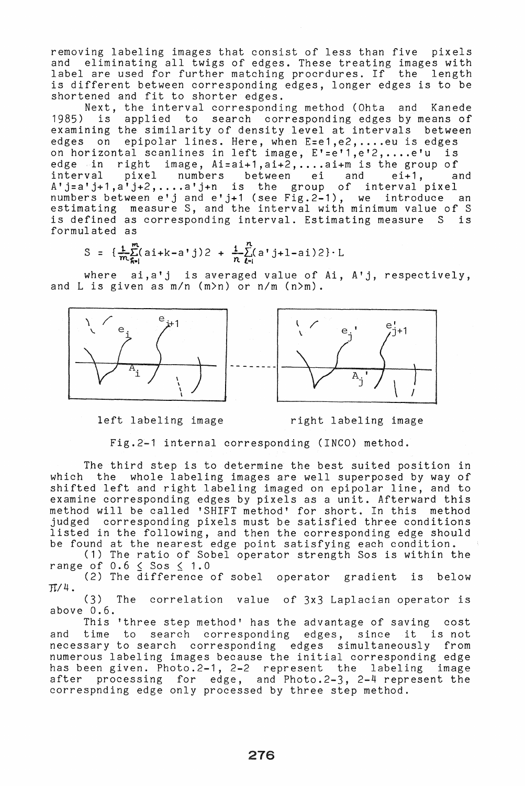removing labeling images that consist of less than five pixels and eliminating all twigs of edges. These treating images with label are used for further matching procrdures. If the length is different between corresponding edges, longer edges is to be shortened and fit to shorter edges.

Next, the interval corresponding method (Ohta and Kanede<br>1985) is applied to search corresponding edges by means of is applied to search corresponding edges by means of examining the similarity of density level at intervals between examining the similarity of density level at intervals between<br>edges on epipolar lines. Here, when E=e1,e2,....eu is edges euges on epipoiar lines. here, when e=ei,e∠,....eu is euges<br>on horizontal scanlines in left image, E'=e'1,e'2,....e'u is edge in right image, Ai=ai+1,ai+2,....ai+m is the group of<br>interval pixel numbers between ei and ei+1, and interval pixel numbers between ei and ei+1, and A'j=a'j+1,a'j+2, .... a'j+n is the group of interval pixel numbers between e'j and e'j+1 (see Fig.2-1), we introduce an estimating measure S, and the interval with minimum value of S is defined as corresponding interval. Estimating measure S is formulated as

$$
S = \{\frac{1}{m} \sum_{k=1}^{m} (ai + k - a^{T} j) 2 + \frac{1}{n} \sum_{\ell=1}^{n} (a^{T} j + l - ai) 2\} \cdot L
$$

where ai,a'j is averaged value of Ai, A'j, respectively, and L is given as *min* (m>n) or *nlm* (n>m).







Fig.2-1 internal corresponding (INCO) method.

The third step is to determine the best suited position in which the whole labeling images are well superposed by way of shifted left and right labeling imaged on epipolar line, and to examine corresponding edges by pixels as a unit. Afterward this method will be called 'SHIFT method' for short. In this method judged corresponding pixels must be satisfied three conditions listed in the following, and then the corresponding edge should be found at the nearest edge point satisfying each condition.

(1) The ratio of Sobel operator strength Sos is within the range of  $0.6 \leq$  Sos  $\leq 1.0$ 

(2) The difference of sobel operator gradient is below  $\text{II}/4$ .

(3) The correlation value of 3x3 Laplacian operator is above 0.6.

This 'three step method' has the advantage of saving cost and time to search corresponding edges, since it is not necessary to search corresponding edges simultaneously from numerous labeling images because the initial corresponding edge has been given. Photo.2-1, 2-2 represent the labeling image after processing for edge, and Photo.2-3, 2-4 represent the correspnding edge only processed by three step method.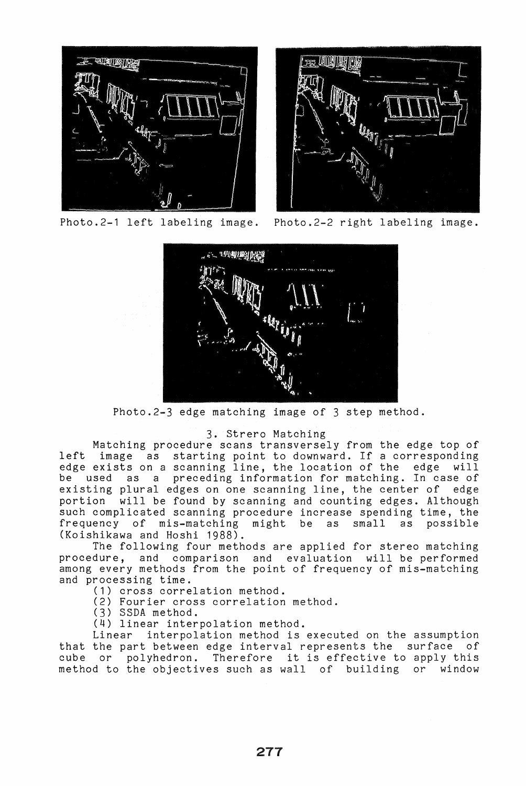



Photo.2-1 left labeling image. Photo.2-2 right labeling image.



Photo.2-3 edge matching image of 3 step method.

## 3. Strero Matching

Matching procedure scans transversely from the edge top of left image as starting point to downward. If a corresponding edge exists on a scanning line, the location of the edge will be used as a preceding information for matching. In case of existing plural edges on one scanning line, the center of edge portion will be found by scanning and counting edges. Although such complicated scanning procedure increase spending time, the frequency of mis-matching might be as small as possible (Koishikawa and Hoshi 1988).

The following four methods are applied for stereo matching procedure, and comparison and evaluation will be performed among every methods from the point of frequency of mis-matching and processing time.

(1) cross correlation method.

(2) Fourier cross correlation method.

(3) SSDA method.

(4) linear interpolation method.

Linear interpolation method is executed on the assumption that the part between edge interval represents the surface of cube or polyhedron. Therefore it is effective to apply this method to the objectives such as wall of building or window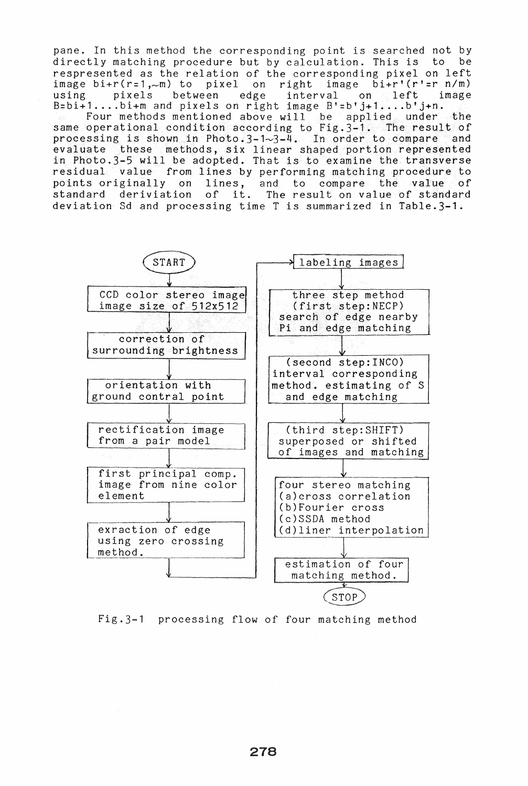pane. In this method the corresponding point is searched not by<br>directly matching procedure but by calculation. This is to be directly matching procedure but by calculation. This is to be respresented as the relation of the corresponding pixel on left image bi+r(r=l,-m) to pixel on right image bi+r'(r'=r n/m) using pixels between edge interval on left image using pixels between edge interval on left image<br>B=bi+1....bi+m and pixels on right image B'=b'j+1....b'j+n. Four methods mentioned above will be applied under the same operational condition according to Fig.3-1. The result of processing is shown in Photo.3-1~3-4. In order to compare and evaluate these methods, six linear shaped portion represented in Photo.3-5 will be adopted. That is to examine the transverse from lines by performing matching procedure to<br>y on lines, and to compare the value of points originally on lines,<br>standard deriviation of it. The result on value of standard deviation Sd and processing time T is summarized in Table.3-1.



Fig.3-1 processing flow of four matching method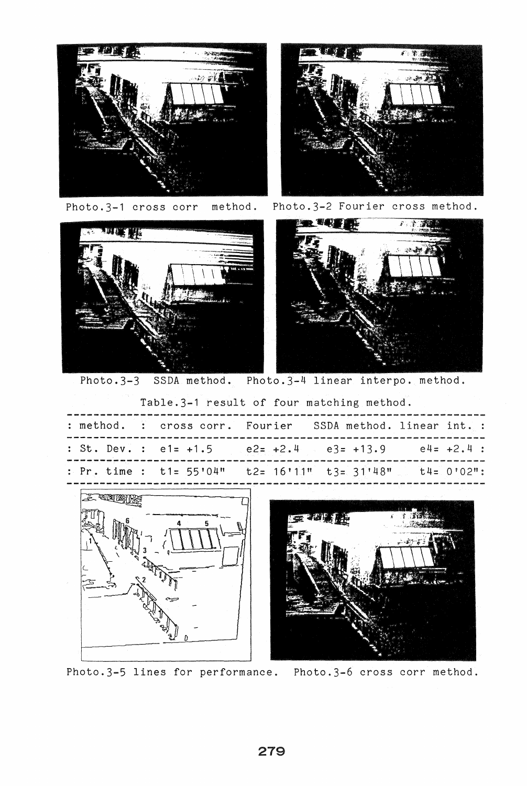



Photo.3-1 cross corr method. Photo.3-2 Fourier cross method.





Photo.3-3 SSDA method. Photo.3-4 linear interpo. method.

Table.3-1 result of four matching method.

|  |  |  | : method. : cross corr. Fourier SSDA method. linear int. :                |
|--|--|--|---------------------------------------------------------------------------|
|  |  |  | : St. Dev. : e1= +1.5 e2= +2.4 e3= +13.9 e4= +2.4 :                       |
|  |  |  | : Pr. time : $t1 = 55'04''$ $t2 = 16'11''$ $t3 = 31'48''$ $t4 = 0'02''$ : |





Photo.3-5 lines for performance. Photo.3-6 cross corr method.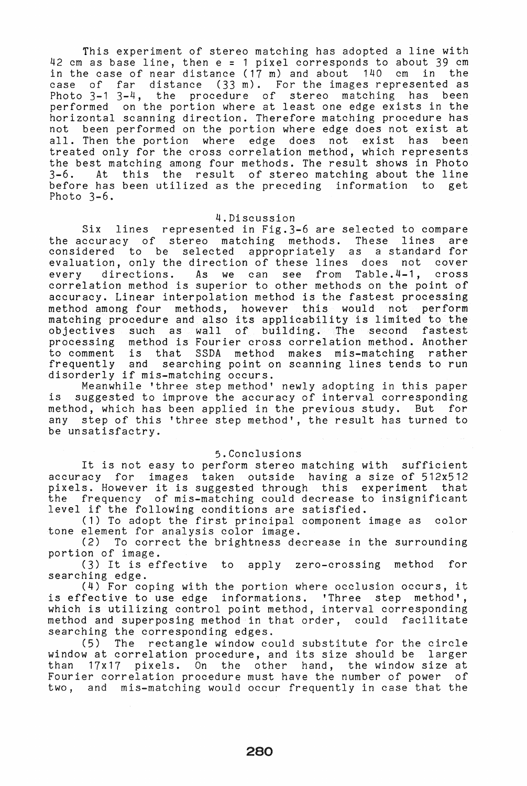This experiment of stereo matching has adopted a line with 42 cm as base line, then e = 1 pixel corresponds to about 39 cm in the case of near distance (17 m) and about 140 cm in the case of far distance (33 m). For the images represented as Photo 3-1 3-4, the procedure of stereo matching has been performed on the portion where at least one edge exists in the horizontal scanning direction. Therefore matching procedure has not been performed on the portion where edge does not exist at<br>all. Then the portion where edge does not exist has been all. Then the portion where edge does not exist has been treated only for the cross correlation method, which represents the best matching among four methods. The result shows in Photo<br>3-6. At this the result of stereo matching about the line At this the result of stereo matching about the line before has been utilized as the preceding information to get Photo 3-6.

#### 4.Discussion

Six lines represented in Fig.3-6 are selected to compare the accuracy of stereo matching methods. These lines are considered to be selected appropriately as a standard for evaluation, only the direction of these lines does not cover every directions. As we can see from Table.4-1, cross every directions. As we can see from Table.4-1, cross<br>correlation method is superior to other methods on the point of accuracy. Linear interpolation method is the fastest processing method among four methods, however this would not perform method among rout methods, however this would hot perform objectives such as wall of building. The second fastest processing method is Fourier cross correlation method. Another that SSDA method makes mis-matching rather frequently and searching point on scanning lines tends to run disorderly if mis-matching occurs.

Meanwhile 'three step method' newly adopting in this paper is suggested to improve the accuracy of interval corresponding method, which has been applied in the previous study. But for any step of this 'three step method', the result has turned to be unsatisfactry.

## 5.Conclusions

It is not easy to perform stereo matching with sufficient accuracy for images taken outside having a size of 512x512 accuracy for images taken outside having a size of sizksiz<br>pixels. However it is suggested through this experiment that the frequency of mis-matching could decrease to insignificant level if the following conditions are satisfied.

(1) To adopt the first principal component image as color tone element for analysis color image.

(2) To correct the brightness decrease in the surrounding portion of image.

(3) It is effective to apply zero-crossing method for searching edge.

(4) For coping with the portion where occlusion occurs, it is effective to use edge informations. 'Three step method', which is utilizing control point method, interval corresponding method and superposing method in that order, could facilitate searching the corresponding edges.

(5) The rectangle window could substitute for the circle window at correlation procedure, and its size should be larger than 17x17 pixels. On the other hand, the window size at Fourier correlation procedure must have the number of power of two, and mis-matching would occur frequently in case that the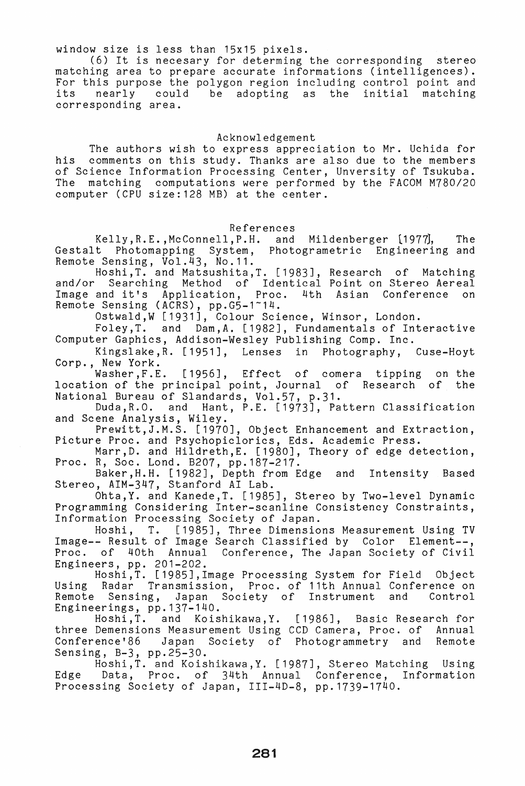window size is less than 15x15 pixels.

(6) It is necesary for determing the corresponding stereo matching area to prepare accurate informations (intelligences). For this purpose the polygon region including control point and<br>its s nearly could be adopting as the initial matching nearly could be adopting as the initial matching corresponding area.

Acknowledgement

The authors wish to express appreciation to Mr. Uchida for his comments on this study. Thanks are also due to the members of Science Information Processing Center, Unversity of Tsukuba. The matching computations were performed by the FACOM M780/20 computer (CPU size:128 MB) at the center.

References

Kelly, R.E., McConnell, P.H. and Mildenberger [1977], The Gestalt Photomapping System, Photogrametric Engineering and Remote Sensing,  $\mathrm{\ddot{Vol}}\,.\,\mathrm{\ddot{4}}\,3\,,\,$  No.11.

Hoshi,T. and Matsushita,T. [1983], Research of Matching and/or Searching Method of Identical Point on Stereo Aereal and/or searching Method of Identical Point on Stereo Aereal<br>Image and it's Application, Proc. 4th Asian Conference on Remote Sensing (ACRS), pp.G5-1~14.

Ostwald,W [1931], Colour Science, Winsor, London.

Foley,T. and Dam,A. [1982], Fundamentals of Interactive Computer Gaphics, Addison-Wesley Publishing Comp. Inc.

Kingslake,R. [1951], Lenses in Photography, Cuse-Hoyt Corp., New York.<br>Washer, F.E.

[1956], Effect of comera tipping on the location of the principal point, Journal of Research of the National Bureau of Slandards, Vol.57, p.31.

Duda,R.O. and Hant, P.E. [1973], Pattern Classification and Scene Analysis, Wiley.

Prewitt,J.M.S. [1970], Object Enhancement and Extraction, Picture Proc. and Psychopiclorics, Eds. Academic Press.

Marr, D. and Hildreth, E. [1980], Theory of edge detection, Proc. R, Soc. Lond. B207, pp.187-217.

Baker,H.H. [1982], Depth from Edge and Intensity Based Stereo, AIM-347, Stanford AI Lab.

Ohta,Y. and Kanede,T. [1985], Stereo by Two-level Dynamic Programming Considering Inter-scanline Consistency Constraints, Information Processing Society of Japan.

Hoshi, T. [1985], Three Dimensions Measurement Using TV Image-- Result of Image Search Classified by Color Element--, Proc. of 40th Annual Conference, The Japan Society of Civil Engineers, pp. 201-202.

Hoshi,T. [1985],Image Processing System for Field Object Using Radar Transmission, Proc. of 11th Annual Conference on Remote Sensing, Japan Society of Instrument and Control Engineerings, pp.137-140.

Hoshi,T. and Koishikawa,Y. [1986], Basic Research for three Demensions Measurement Using CCD Camera, Proc. of Annual Japan Society of Photogrammetry and Remote Sensing, B-3, pp.25-30.

Hoshi,T. and Koishikawa,Y. [1987], Stereo Matching Using Edge Data, Proc. of 34th Annual Conference, Information Processing Society of Japan, III-4D-8, pp.1739-1740.